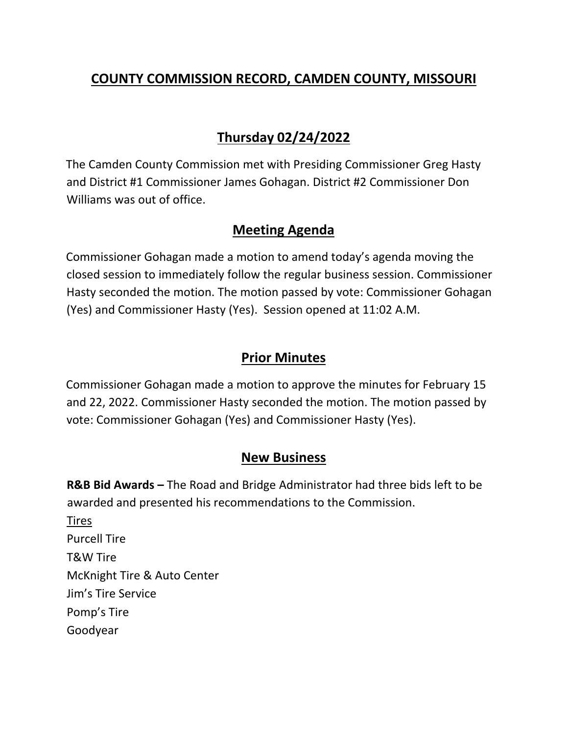## **COUNTY COMMISSION RECORD, CAMDEN COUNTY, MISSOURI**

## **Thursday 02/24/2022**

The Camden County Commission met with Presiding Commissioner Greg Hasty and District #1 Commissioner James Gohagan. District #2 Commissioner Don Williams was out of office.

### **Meeting Agenda**

Commissioner Gohagan made a motion to amend today's agenda moving the closed session to immediately follow the regular business session. Commissioner Hasty seconded the motion. The motion passed by vote: Commissioner Gohagan (Yes) and Commissioner Hasty (Yes). Session opened at 11:02 A.M.

### **Prior Minutes**

Commissioner Gohagan made a motion to approve the minutes for February 15 and 22, 2022. Commissioner Hasty seconded the motion. The motion passed by vote: Commissioner Gohagan (Yes) and Commissioner Hasty (Yes).

#### **New Business**

**R&B Bid Awards –** The Road and Bridge Administrator had three bids left to be awarded and presented his recommendations to the Commission. Tires Purcell Tire T&W Tire McKnight Tire & Auto Center Jim's Tire Service Pomp's Tire Goodyear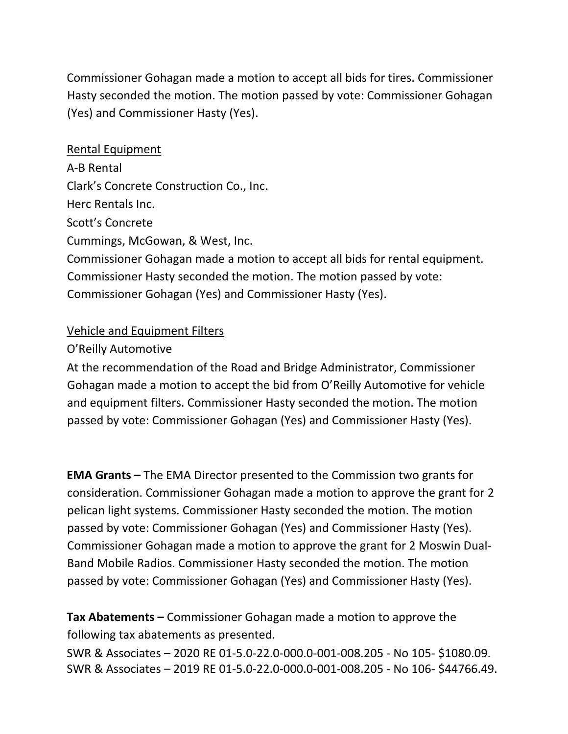Commissioner Gohagan made a motion to accept all bids for tires. Commissioner Hasty seconded the motion. The motion passed by vote: Commissioner Gohagan (Yes) and Commissioner Hasty (Yes).

# Rental Equipment A‐B Rental Clark's Concrete Construction Co., Inc. Herc Rentals Inc. Scott's Concrete Cummings, McGowan, & West, Inc. Commissioner Gohagan made a motion to accept all bids for rental equipment. Commissioner Hasty seconded the motion. The motion passed by vote: Commissioner Gohagan (Yes) and Commissioner Hasty (Yes).

#### Vehicle and Equipment Filters

#### O'Reilly Automotive

At the recommendation of the Road and Bridge Administrator, Commissioner Gohagan made a motion to accept the bid from O'Reilly Automotive for vehicle and equipment filters. Commissioner Hasty seconded the motion. The motion passed by vote: Commissioner Gohagan (Yes) and Commissioner Hasty (Yes).

**EMA Grants –** The EMA Director presented to the Commission two grants for consideration. Commissioner Gohagan made a motion to approve the grant for 2 pelican light systems. Commissioner Hasty seconded the motion. The motion passed by vote: Commissioner Gohagan (Yes) and Commissioner Hasty (Yes). Commissioner Gohagan made a motion to approve the grant for 2 Moswin Dual‐ Band Mobile Radios. Commissioner Hasty seconded the motion. The motion passed by vote: Commissioner Gohagan (Yes) and Commissioner Hasty (Yes).

**Tax Abatements –** Commissioner Gohagan made a motion to approve the following tax abatements as presented.

SWR & Associates – 2020 RE 01‐5.0‐22.0‐000.0‐001‐008.205 ‐ No 105‐ \$1080.09. SWR & Associates – 2019 RE 01‐5.0‐22.0‐000.0‐001‐008.205 ‐ No 106‐ \$44766.49.